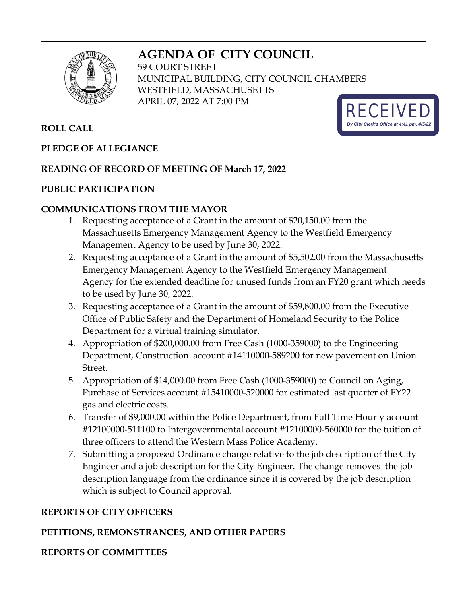# **AGENDA OF CITY COUNCIL**



59 COURT STREET MUNICIPAL BUILDING, CITY COUNCIL CHAMBERS WESTFIELD, MASSACHUSETTS APRIL 07, 2022 AT 7:00 PM



### **PLEDGE OF ALLEGIANCE**

### **READING OF RECORD OF MEETING OF March 17, 2022**

### **PUBLIC PARTICIPATION**

### **COMMUNICATIONS FROM THE MAYOR**

- 1. Requesting acceptance of a Grant in the amount of \$20,150.00 from the Massachusetts Emergency Management Agency to the Westfield Emergency Management Agency to be used by June 30, 2022.
- 2. Requesting acceptance of a Grant in the amount of \$5,502.00 from the Massachusetts Emergency Management Agency to the Westfield Emergency Management Agency for the extended deadline for unused funds from an FY20 grant which needs to be used by June 30, 2022.
- 3. Requesting acceptance of a Grant in the amount of \$59,800.00 from the Executive Office of Public Safety and the Department of Homeland Security to the Police Department for a virtual training simulator.
- 4. Appropriation of \$200,000.00 from Free Cash (1000-359000) to the Engineering Department, Construction account #14110000-589200 for new pavement on Union Street.
- 5. Appropriation of \$14,000.00 from Free Cash (1000-359000) to Council on Aging, Purchase of Services account #15410000-520000 for estimated last quarter of FY22 gas and electric costs.
- 6. Transfer of \$9,000.00 within the Police Department, from Full Time Hourly account #12100000-511100 to Intergovernmental account #12100000-560000 for the tuition of three officers to attend the Western Mass Police Academy.
- 7. Submitting a proposed Ordinance change relative to the job description of the City Engineer and a job description for the City Engineer. The change removes the job description language from the ordinance since it is covered by the job description which is subject to Council approval.

## **REPORTS OF CITY OFFICERS**

# **PETITIONS, REMONSTRANCES, AND OTHER PAPERS**

# **REPORTS OF COMMITTEES**